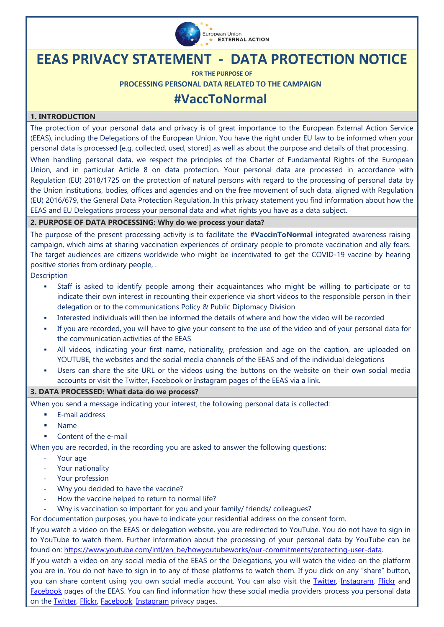

# **EEAS PRIVACY STATEMENT - DATA PROTECTION NOTICE**

**FOR THE PURPOSE OF**

**PROCESSING PERSONAL DATA RELATED TO THE CAMPAIGN** 

## **#VaccToNormal**

#### **1. INTRODUCTION**

The protection of your personal data and privacy is of great importance to the European External Action Service (EEAS), including the Delegations of the European Union. You have the right under EU law to be informed when your personal data is processed [e.g. collected, used, stored] as well as about the purpose and details of that processing.

When handling personal data, we respect the principles of the Charter of Fundamental Rights of the European Union, and in particular Article 8 on data protection. Your personal data are processed in accordance with [Regulation \(EU\) 2018/1725 on the protection of natural persons with regard to the processing of personal data by](https://eur-lex.europa.eu/legal-content/EN/TXT/?uri=CELEX%3A32018R1725)  [the Union institutions, bodies, offices and agencies and on the free movement of such data,](https://eur-lex.europa.eu/legal-content/EN/TXT/?uri=CELEX%3A32018R1725) aligned with Regulation (EU) 2016/679, the General Data Protection Regulation. In this privacy statement you find information about how the EEAS and EU Delegations process your personal data and what rights you have as a data subject.

#### **2. PURPOSE OF DATA PROCESSING: Why do we process your data?**

The purpose of the present processing activity is to facilitate the **#VaccinToNormal** integrated awareness raising campaign, which aims at sharing vaccination experiences of ordinary people to promote vaccination and ally fears. The target audiences are citizens worldwide who might be incentivated to get the COVID-19 vaccine by hearing positive stories from ordinary people, .

Description

- Staff is asked to identify people among their acquaintances who might be willing to participate or to indicate their own interest in recounting their experience via short videos to the responsible person in their delegation or to the communications Policy & Public Diplomacy Division
- Interested individuals will then be informed the details of where and how the video will be recorded
- If you are recorded, you will have to give your consent to the use of the video and of your personal data for the communication activities of the EEAS
- All videos, indicating your first name, nationality, profession and age on the caption, are uploaded on YOUTUBE, the websites and the social media channels of the EEAS and of the individual delegations
- Users can share the site URL or the videos using the buttons on the website on their own social media accounts or visit the Twitter, Facebook or Instagram pages of the EEAS via a link.

#### **3. DATA PROCESSED: What data do we process?**

When you send a message indicating your interest, the following personal data is collected:

- E-mail address
- Name
- Content of the e-mail

When you are recorded, in the recording you are asked to answer the following questions:

- Your age
- Your nationality
- Your profession
- Why you decided to have the vaccine?
- How the vaccine helped to return to normal life?
- Why is vaccination so important for you and your family/ friends/ colleagues?

For documentation purposes, you have to indicate your residential address on the consent form.

If you watch a video on the EEAS or delegation website, you are redirected to YouTube. You do not have to sign in to YouTube to watch them. Further information about the processing of your personal data by YouTube can be found on: [https://www.youtube.com/intl/en\\_be/howyoutubeworks/our-commitments/protecting-user-data.](https://www.youtube.com/intl/en_be/howyoutubeworks/our-commitments/protecting-user-data)

If you watch a video on any social media of the EEAS or the Delegations, you will watch the video on the platform you are in. You do not have to sign in to any of those platforms to watch them. If you click on any "share" button, you can share content using you own social media account. You can also visit the *Twitter*, [Instagram,](https://www.instagram.com/eudiplomacy/) [Flickr](https://www.flickr.com/photos/eeas/) and [Facebook](https://www.facebook.com/EuropeanExternalActionService) pages of the EEAS. You can find information how these social media providers process you personal data on the [Twitter,](https://twitter.com/privacy?lang=en) [Flickr,](https://policies.yahoo.com/privacy/flickr/) [Facebook,](https://www.facebook.com/legal/FB_Work_Privacy) [Instagram](https://help.instagram.com/519522125107875?helpref=page_content) privacy pages.